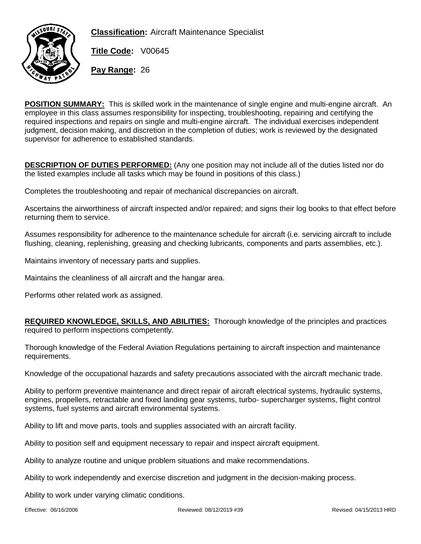



**Title Code:** V00645

**Pay Range:** 26

**POSITION SUMMARY:** This is skilled work in the maintenance of single engine and multi-engine aircraft. An employee in this class assumes responsibility for inspecting, troubleshooting, repairing and certifying the required inspections and repairs on single and multi-engine aircraft. The individual exercises independent judgment, decision making, and discretion in the completion of duties; work is reviewed by the designated supervisor for adherence to established standards.

**DESCRIPTION OF DUTIES PERFORMED:** (Any one position may not include all of the duties listed nor do the listed examples include all tasks which may be found in positions of this class.)

Completes the troubleshooting and repair of mechanical discrepancies on aircraft.

Ascertains the airworthiness of aircraft inspected and/or repaired; and signs their log books to that effect before returning them to service.

Assumes responsibility for adherence to the maintenance schedule for aircraft (i.e. servicing aircraft to include flushing, cleaning, replenishing, greasing and checking lubricants, components and parts assemblies, etc.).

Maintains inventory of necessary parts and supplies.

Maintains the cleanliness of all aircraft and the hangar area.

Performs other related work as assigned.

**REQUIRED KNOWLEDGE, SKILLS, AND ABILITIES:** Thorough knowledge of the principles and practices required to perform inspections competently.

Thorough knowledge of the Federal Aviation Regulations pertaining to aircraft inspection and maintenance requirements.

Knowledge of the occupational hazards and safety precautions associated with the aircraft mechanic trade.

Ability to perform preventive maintenance and direct repair of aircraft electrical systems, hydraulic systems, engines, propellers, retractable and fixed landing gear systems, turbo- supercharger systems, flight control systems, fuel systems and aircraft environmental systems.

Ability to lift and move parts, tools and supplies associated with an aircraft facility.

Ability to position self and equipment necessary to repair and inspect aircraft equipment.

Ability to analyze routine and unique problem situations and make recommendations.

Ability to work independently and exercise discretion and judgment in the decision-making process.

Ability to work under varying climatic conditions.